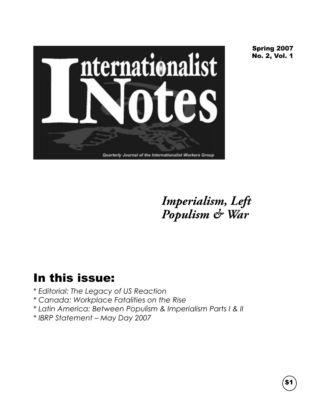

Spring 2007 No. 2, Vol. 1

*Imperialism, Left Populism & War*

## In this issue:

- *\* Editorial: The Legacy of US Reaction*
- *\* Canada: Workplace Fatalities on the Rise*
- *\* Latin America: Between Populism & Imperialism Parts I & II*
- *\* IBRP Statement May Day 2007*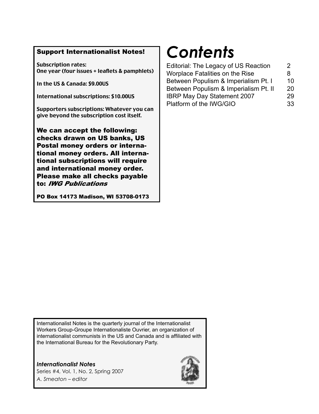### Support Internationalist Notes!

Subscription rates: One year (four issues + leaflets & pamphlets)

In the US & Canada: \$9.00US

International subscriptions: \$10.00US

Supporters subscriptions: Whatever you can give beyond the subscription cost itself.

We can accept the following: checks drawn on US banks, US Postal money orders or international money orders. All international subscriptions will require and international money order. Please make all checks payable to: IWG Publications

PO Box 14173 Madison, WI 53708-0173

# *Contents*

| Editorial: The Legacy of US Reaction                                           | 2       |
|--------------------------------------------------------------------------------|---------|
| <b>Worplace Fatalities on the Rise</b><br>Between Populism & Imperialism Pt. I | 8<br>10 |
|                                                                                |         |
| <b>IBRP May Day Statement 2007</b>                                             | 29      |
| Platform of the IWG/GIO                                                        | 33      |
|                                                                                |         |

Internationalist Notes is the quarterly journal of the Internationalist Workers Group-Groupe Internationaliste Ouvrier, an organization of internationalist communists in the US and Canada and is affiliated with the International Bureau for the Revolutionary Party.

*Internationalist Notes* Series #4, Vol. 1, No. 2, Spring 2007 *A. Smeaton – editor*

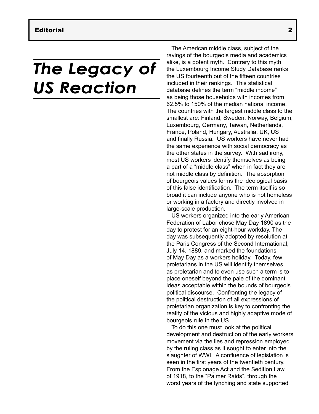# *The Legacy of US Reaction*

The American middle class, subject of the ravings of the bourgeois media and academics alike, is a potent myth. Contrary to this myth, the Luxembourg Income Study Database ranks the US fourteenth out of the fifteen countries included in their rankings. This statistical database defines the term "middle income" as being those households with incomes from 62.5% to 150% of the median national income. The countries with the largest middle class to the smallest are: Finland, Sweden, Norway, Belgium, Luxembourg, Germany, Taiwan, Netherlands, France, Poland, Hungary, Australia, UK, US and finally Russia. US workers have never had the same experience with social democracy as the other states in the survey. With sad irony, most US workers identify themselves as being a part of a "middle class" when in fact they are not middle class by definition. The absorption of bourgeois values forms the ideological basis of this false identification. The term itself is so broad it can include anyone who is not homeless or working in a factory and directly involved in large-scale production.

US workers organized into the early American Federation of Labor chose May Day 1890 as the day to protest for an eight-hour workday. The day was subsequently adopted by resolution at the Paris Congress of the Second International, July 14, 1889, and marked the foundations of May Day as a workers holiday. Today, few proletarians in the US will identify themselves as proletarian and to even use such a term is to place oneself beyond the pale of the dominant ideas acceptable within the bounds of bourgeois political discourse. Confronting the legacy of the political destruction of all expressions of proletarian organization is key to confronting the reality of the vicious and highly adaptive mode of bourgeois rule in the US.

To do this one must look at the political development and destruction of the early workers movement via the lies and repression employed by the ruling class as it sought to enter into the slaughter of WWI. A confluence of legislation is seen in the first years of the twentieth century. From the Espionage Act and the Sedition Law of 1918, to the "Palmer Raids", through the worst years of the lynching and state supported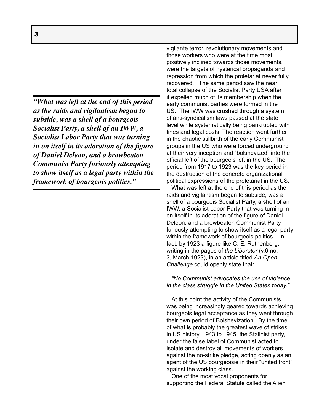*"What was left at the end of this period as the raids and vigilantism began to subside, was a shell of a bourgeois Socialist Party, a shell of an IWW, a Socialist Labor Party that was turning in on itself in its adoration of the figure of Daniel Deleon, and a browbeaten Communist Party furiously attempting to show itself as a legal party within the framework of bourgeois politics."*

vigilante terror, revolutionary movements and those workers who were at the time most positively inclined towards those movements, were the targets of hysterical propaganda and repression from which the proletariat never fully recovered. The same period saw the near total collapse of the Socialist Party USA after it expelled much of its membership when the early communist parties were formed in the US. The IWW was crushed through a system of anti-syndicalism laws passed at the state level while systematically being bankrupted with fines and legal costs. The reaction went further in the chaotic stillbirth of the early Communist groups in the US who were forced underground at their very inception and "bolshevized" into the official left of the bourgeois left in the US. The period from 1917 to 1923 was the key period in the destruction of the concrete organizational political expressions of the proletariat in the US.

What was left at the end of this period as the raids and vigilantism began to subside, was a shell of a bourgeois Socialist Party, a shell of an IWW, a Socialist Labor Party that was turning in on itself in its adoration of the figure of Daniel Deleon, and a browbeaten Communist Party furiously attempting to show itself as a legal party within the framework of bourgeois politics. In fact, by 1923 a figure like C. E. Ruthenberg, writing in the pages of *the Liberator* (v.6 no. 3, March 1923), in an article titled *An Open Challenge* could openly state that:

*"No Communist advocates the use of violence in the class struggle in the United States today."*

At this point the activity of the Communists was being increasingly geared towards achieving bourgeois legal acceptance as they went through their own period of Bolshevization. By the time of what is probably the greatest wave of strikes in US history, 1943 to 1945, the Stalinist party, under the false label of Communist acted to isolate and destroy all movements of workers against the no-strike pledge, acting openly as an agent of the US bourgeoisie in their "united front" against the working class.

One of the most vocal proponents for supporting the Federal Statute called the Alien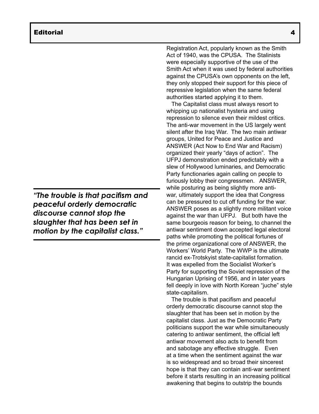*"The trouble is that pacifism and peaceful orderly democratic discourse cannot stop the slaughter that has been set in motion by the capitalist class."*

Registration Act, popularly known as the Smith Act of 1940, was the CPUSA. The Stalinists were especially supportive of the use of the Smith Act when it was used by federal authorities against the CPUSA's own opponents on the left, they only stopped their support for this piece of repressive legislation when the same federal authorities started applying it to them.

The Capitalist class must always resort to whipping up nationalist hysteria and using repression to silence even their mildest critics. The anti-war movement in the US largely went silent after the Iraq War. The two main antiwar groups, United for Peace and Justice and ANSWER (Act Now to End War and Racism) organized their yearly "days of action". The UFPJ demonstration ended predictably with a slew of Hollywood luminaries, and Democratic Party functionaries again calling on people to furiously lobby their congressmen. ANSWER, while posturing as being slightly more antiwar, ultimately support the idea that Congress can be pressured to cut off funding for the war. ANSWER poses as a slightly more militant voice against the war than UFPJ. But both have the same bourgeois reason for being, to channel the antiwar sentiment down accepted legal electoral paths while promoting the political fortunes of the prime organizational core of ANSWER, the Workers' World Party. The WWP is the ultimate rancid ex-Trotskyist state-capitalist formation. It was expelled from the Socialist Worker's Party for supporting the Soviet repression of the Hungarian Uprising of 1956, and in later years fell deeply in love with North Korean "juche" style state-capitalism.

The trouble is that pacifism and peaceful orderly democratic discourse cannot stop the slaughter that has been set in motion by the capitalist class. Just as the Democratic Party politicians support the war while simultaneously catering to antiwar sentiment, the official left antiwar movement also acts to benefit from and sabotage any effective struggle. Even at a time when the sentiment against the war is so widespread and so broad their sincerest hope is that they can contain anti-war sentiment before it starts resulting in an increasing political awakening that begins to outstrip the bounds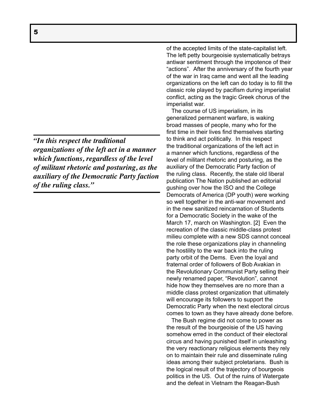*"In this respect the traditional organizations of the left act in a manner which functions, regardless of the level of militant rhetoric and posturing, as the auxiliary of the Democratic Party faction of the ruling class."*

of the accepted limits of the state-capitalist left. The left petty bourgeoisie systematically betrays antiwar sentiment through the impotence of their "actions". After the anniversary of the fourth year of the war in Iraq came and went all the leading organizations on the left can do today is to fill the classic role played by pacifism during imperialist conflict, acting as the tragic Greek chorus of the imperialist war.

The course of US imperialism, in its generalized permanent warfare, is waking broad masses of people, many who for the first time in their lives find themselves starting to think and act politically. In this respect the traditional organizations of the left act in a manner which functions, regardless of the level of militant rhetoric and posturing, as the auxiliary of the Democratic Party faction of the ruling class. Recently, the stale old liberal publication The Nation published an editorial gushing over how the ISO and the College Democrats of America (DP youth) were working so well together in the anti-war movement and in the new sanitized reincarnation of Students for a Democratic Society in the wake of the March 17, march on Washington. [2] Even the recreation of the classic middle-class protest milieu complete with a new SDS cannot conceal the role these organizations play in channeling the hostility to the war back into the ruling party orbit of the Dems. Even the loyal and fraternal order of followers of Bob Avakian in the Revolutionary Communist Party selling their newly renamed paper, "Revolution", cannot hide how they themselves are no more than a middle class protest organization that ultimately will encourage its followers to support the Democratic Party when the next electoral circus comes to town as they have already done before.

The Bush regime did not come to power as the result of the bourgeoisie of the US having somehow erred in the conduct of their electoral circus and having punished itself in unleashing the very reactionary religious elements they rely on to maintain their rule and disseminate ruling ideas among their subject proletarians. Bush is the logical result of the trajectory of bourgeois politics in the US. Out of the ruins of Watergate and the defeat in Vietnam the Reagan-Bush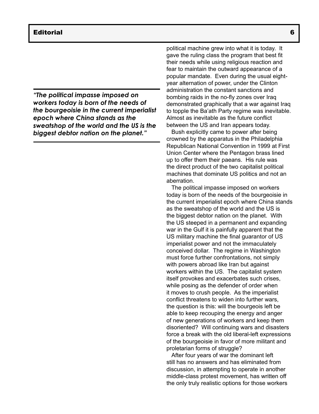*"The political impasse imposed on workers today is born of the needs of the bourgeoisie in the current imperialist epoch where China stands as the sweatshop of the world and the US is the biggest debtor nation on the planet."*

political machine grew into what it is today. It gave the ruling class the program that best fit their needs while using religious reaction and fear to maintain the outward appearance of a popular mandate. Even during the usual eightyear alternation of power, under the Clinton administration the constant sanctions and bombing raids in the no-fly zones over Iraq demonstrated graphically that a war against Iraq to topple the Ba'ath Party regime was inevitable. Almost as inevitable as the future conflict between the US and Iran appears today.

Bush explicitly came to power after being crowned by the apparatus in the Philadelphia Republican National Convention in 1999 at First Union Center where the Pentagon brass lined up to offer them their paeans. His rule was the direct product of the two capitalist political machines that dominate US politics and not an aberration.

The political impasse imposed on workers today is born of the needs of the bourgeoisie in the current imperialist epoch where China stands as the sweatshop of the world and the US is the biggest debtor nation on the planet. With the US steeped in a permanent and expanding war in the Gulf it is painfully apparent that the US military machine the final guarantor of US imperialist power and not the immaculately conceived dollar. The regime in Washington must force further confrontations, not simply with powers abroad like Iran but against workers within the US. The capitalist system itself provokes and exacerbates such crises, while posing as the defender of order when it moves to crush people. As the imperialist conflict threatens to widen into further wars, the question is this: will the bourgeois left be able to keep recouping the energy and anger of new generations of workers and keep them disoriented? Will continuing wars and disasters force a break with the old liberal-left expressions of the bourgeoisie in favor of more militant and proletarian forms of struggle?

After four years of war the dominant left still has no answers and has eliminated from discussion, in attempting to operate in another middle-class protest movement, has written off the only truly realistic options for those workers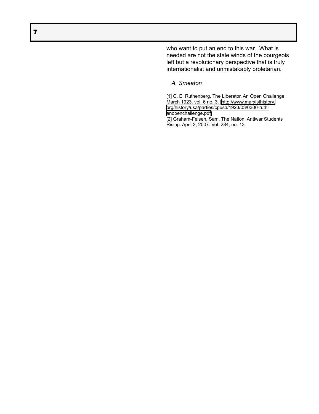who want to put an end to this war. What is needed are not the stale winds of the bourgeois left but a revolutionary perspective that is truly internationalist and unmistakably proletarian.

### *A. Smeaton*

[1] C. E. Ruthenberg, The Liberator. An Open Challenge. March 1923. vol. 6 no. 3. [\[http://www.marxisthistory.](http://www.marxisthistory.org/history/usa/parties/cpusa/1923/03/0300-ruth-anopenchallenge.pdf) [org/history/usa/parties/cpusa/1923/03/0300-ruth](http://www.marxisthistory.org/history/usa/parties/cpusa/1923/03/0300-ruth-anopenchallenge.pdf)[anopenchallenge.pdf\]](http://www.marxisthistory.org/history/usa/parties/cpusa/1923/03/0300-ruth-anopenchallenge.pdf) [2] Graham-Felsen, Sam. The Nation. Antiwar Students

Rising. April 2, 2007. Vol. 284, no. 13.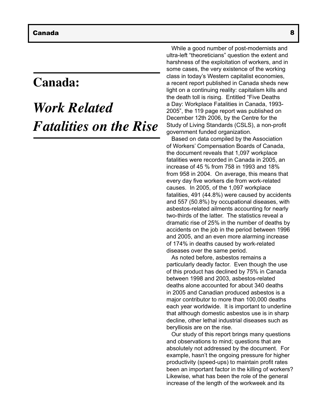## **Canada:**

## *Work Related Fatalities on the Rise*

While a good number of post-modernists and ultra-left "theoreticians" question the extent and harshness of the exploitation of workers, and in some cases, the very existence of the working class in today's Western capitalist economies, a recent report published in Canada sheds new light on a continuing reality: capitalism kills and the death toll is rising. Entitled "Five Deaths a Day: Workplace Fatalities in Canada, 1993- 2005", the 119 page report was published on December 12th 2006, by the Centre for the Study of Living Standards (CSLS), a non-profit government funded organization.

Based on data compiled by the Association of Workers' Compensation Boards of Canada, the document reveals that 1,097 workplace fatalities were recorded in Canada in 2005, an increase of 45 % from 758 in 1993 and 18% from 958 in 2004. On average, this means that every day five workers die from work-related causes. In 2005, of the 1,097 workplace fatalities, 491 (44.8%) were caused by accidents and 557 (50.8%) by occupational diseases, with asbestos-related ailments accounting for nearly two-thirds of the latter. The statistics reveal a dramatic rise of 25% in the number of deaths by accidents on the job in the period between 1996 and 2005, and an even more alarming increase of 174% in deaths caused by work-related diseases over the same period.

As noted before, asbestos remains a particularly deadly factor. Even though the use of this product has declined by 75% in Canada between 1998 and 2003, asbestos-related deaths alone accounted for about 340 deaths in 2005 and Canadian produced asbestos is a major contributor to more than 100,000 deaths each year worldwide. It is important to underline that although domestic asbestos use is in sharp decline, other lethal industrial diseases such as berylliosis are on the rise.

Our study of this report brings many questions and observations to mind; questions that are absolutely not addressed by the document. For example, hasn't the ongoing pressure for higher productivity (speed-ups) to maintain profit rates been an important factor in the killing of workers? Likewise, what has been the role of the general increase of the length of the workweek and its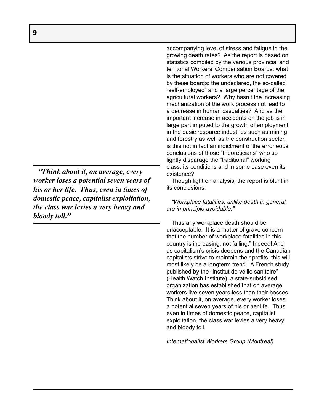*"Think about it, on average, every worker loses a potential seven years of his or her life. Thus, even in times of domestic peace, capitalist exploitation, the class war levies a very heavy and bloody toll."*

accompanying level of stress and fatigue in the growing death rates? As the report is based on statistics compiled by the various provincial and territorial Workers' Compensation Boards, what is the situation of workers who are not covered by these boards: the undeclared, the so-called "self-employed" and a large percentage of the agricultural workers? Why hasn't the increasing mechanization of the work process not lead to a decrease in human casualties? And as the important increase in accidents on the job is in large part imputed to the growth of employment in the basic resource industries such as mining and forestry as well as the construction sector, is this not in fact an indictment of the erroneous conclusions of those "theoreticians" who so lightly disparage the "traditional" working class, its conditions and in some case even its existence?

Though light on analysis, the report is blunt in its conclusions:

*"Workplace fatalities, unlike death in general, are in principle avoidable."* 

Thus any workplace death should be unacceptable. It is a matter of grave concern that the number of workplace fatalities in this country is increasing, not falling." Indeed! And as capitalism's crisis deepens and the Canadian capitalists strive to maintain their profits, this will most likely be a longterm trend. A French study published by the "Institut de veille sanitaire" (Health Watch Institute), a state-subsidised organization has established that on average workers live seven years less than their bosses. Think about it, on average, every worker loses a potential seven years of his or her life. Thus, even in times of domestic peace, capitalist exploitation, the class war levies a very heavy and bloody toll.

*Internationalist Workers Group (Montreal)*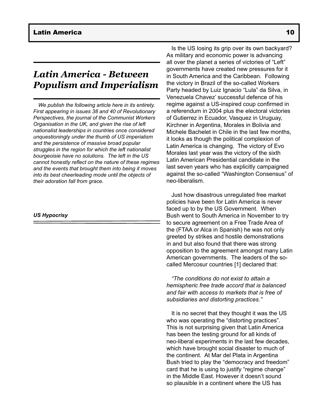### *Latin America - Between Populism and Imperialism*

*We publish the following article here in its entirety. First appearing in issues 38 and 40 of Revolutionary Perspectives, the journal of the Communist Workers Organisation in the UK, and given the rise of left nationalist leaderships in countries once considered unquestioningly under the thumb of US imperialism and the persistence of massive broad popular struggles in the region for which the left nationalist bourgeoisie have no solutions. The left in the US cannot honestly reflect on the nature of these regimes and the events that brought them into being it moves into its best cheerleading mode until the objects of their adoration fall from grace.* 

#### *US Hypocrisy*

Is the US losing its grip over its own backyard? As military and economic power is advancing all over the planet a series of victories of "Left" governments have created new pressures for it in South America and the Caribbean. Following the victory in Brazil of the so-called Workers Party headed by Luiz Ignacio "Lula" da Silva, in Venezuela Chavez' successful defence of his regime against a US-inspired coup confirmed in a referendum in 2004 plus the electoral victories of Gutierrez in Ecuador, Vasquez in Uruguay, Kirchner in Argentina, Morales in Bolivia and Michele Bachelet in Chile in the last few months, it looks as though the political complexion of Latin America is changing. The victory of Evo Morales last year was the victory of the sixth Latin American Presidential candidate in the last seven years who has explicitly campaigned against the so-called "Washington Consensus" of neo-liberalism.

Just how disastrous unregulated free market policies have been for Latin America is never faced up to by the US Government. When Bush went to South America in November to try to secure agreement on a Free Trade Area of the (FTAA or Alca in Spanish) he was not only greeted by strikes and hostile demonstrations in and but also found that there was strong opposition to the agreement amongst many Latin American governments. The leaders of the socalled Mercosur countries [1] declared that:

*"The conditions do not exist to attain a hemispheric free trade accord that is balanced and fair with access to markets that is free of subsidiaries and distorting practices."*

It is no secret that they thought it was the US who was operating the "distorting practices". This is not surprising given that Latin America has been the testing ground for all kinds of neo-liberal experiments in the last few decades, which have brought social disaster to much of the continent. At Mar del Plata in Argentina Bush tried to play the "democracy and freedom" card that he is using to justify "regime change" in the Middle East. However it doesn't sound so plausible in a continent where the US has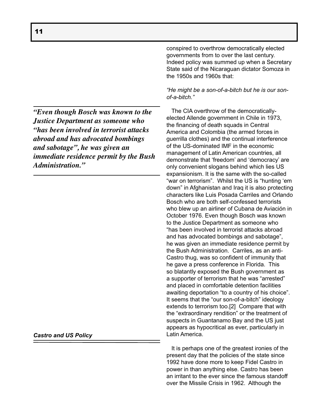*"Even though Bosch was known to the Justice Department as someone who "has been involved in terrorist attacks abroad and has advocated bombings and sabotage", he was given an immediate residence permit by the Bush Administration."*

### *Castro and US Policy*

conspired to overthrow democratically elected governments from to over the last century. Indeed policy was summed up when a Secretary State said of the Nicaraguan dictator Somoza in the 1950s and 1960s that:

*"He might be a son-of-a-bitch but he is our sonof-a-bitch."*

The CIA overthrow of the democraticallyelected Allende government in Chile in 1973, the financing of death squads in Central America and Colombia (the armed forces in guerrilla clothes) and the continual interference of the US-dominated IMF in the economic management of Latin American countries, all demonstrate that 'freedom' and 'democracy' are only convenient slogans behind which lies US expansionism. It is the same with the so-called "war on terrorism". Whilst the US is "hunting 'em down" in Afghanistan and Iraq it is also protecting characters like Luis Posada Carriles and Orlando Bosch who are both self-confessed terrorists who blew up an airliner of Cubana de Aviación in October 1976. Even though Bosch was known to the Justice Department as someone who "has been involved in terrorist attacks abroad and has advocated bombings and sabotage", he was given an immediate residence permit by the Bush Administration. Carriles, as an anti-Castro thug, was so confident of immunity that he gave a press conference in Florida. This so blatantly exposed the Bush government as a supporter of terrorism that he was "arrested" and placed in comfortable detention facilities awaiting deportation "to a country of his choice". It seems that the "our son-of-a-bitch" ideology extends to terrorism too.[2] Compare that with the "extraordinary rendition" or the treatment of suspects in Guantanamo Bay and the US just appears as hypocritical as ever, particularly in Latin America.

It is perhaps one of the greatest ironies of the present day that the policies of the state since 1992 have done more to keep Fidel Castro in power in than anything else. Castro has been an irritant to the ever since the famous standoff over the Missile Crisis in 1962. Although the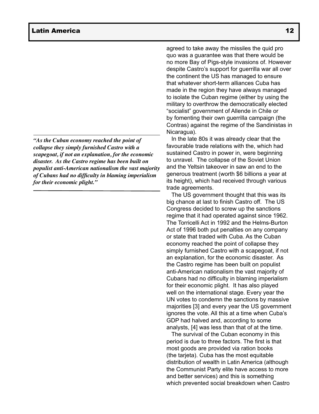*"As the Cuban economy reached the point of collapse they simply furnished Castro with a scapegoat, if not an explanation, for the economic disaster. As the Castro regime has been built on populist anti-American nationalism the vast majority of Cubans had no difficulty in blaming imperialism for their economic plight."*

agreed to take away the missiles the quid pro quo was a guarantee was that there would be no more Bay of Pigs-style invasions of. However despite Castro's support for guerrilla war all over the continent the US has managed to ensure that whatever short-term alliances Cuba has made in the region they have always managed to isolate the Cuban regime (either by using the military to overthrow the democratically elected "socialist" government of Allende in Chile or by fomenting their own guerrilla campaign (the Contras) against the regime of the Sandinistas in Nicaragua).

In the late 80s it was already clear that the favourable trade relations with the, which had sustained Castro in power in, were beginning to unravel. The collapse of the Soviet Union and the Yeltsin takeover in saw an end to the generous treatment (worth \$6 billions a year at its height), which had received through various trade agreements.

The US government thought that this was its big chance at last to finish Castro off. The US Congress decided to screw up the sanctions regime that it had operated against since 1962. The Torricelli Act in 1992 and the Helms-Burton Act of 1996 both put penalties on any company or state that traded with Cuba. As the Cuban economy reached the point of collapse they simply furnished Castro with a scapegoat, if not an explanation, for the economic disaster. As the Castro regime has been built on populist anti-American nationalism the vast majority of Cubans had no difficulty in blaming imperialism for their economic plight. It has also played well on the international stage. Every year the UN votes to condemn the sanctions by massive majorities [3] and every year the US government ignores the vote. All this at a time when Cuba's GDP had halved and, according to some analysts, [4] was less than that of at the time.

The survival of the Cuban economy in this period is due to three factors. The first is that most goods are provided via ration books (the tarjeta). Cuba has the most equitable distribution of wealth in Latin America (although the Communist Party elite have access to more and better services) and this is something which prevented social breakdown when Castro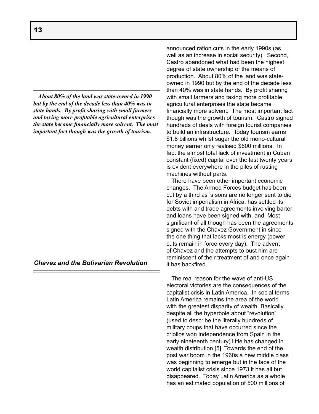*About 80% of the land was state-owned in 1990 but by the end of the decade less than 40% was in state hands. By profit sharing with small farmers and taxing more profitable agricultural enterprises the state became financially more solvent. The most important fact though was the growth of tourism.*

*Chavez and the Bolivarian Revolution*

announced ration cuts in the early 1990s (as well as an increase in social security). Second, Castro abandoned what had been the highest degree of state ownership of the means of production. About 80% of the land was stateowned in 1990 but by the end of the decade less than 40% was in state hands. By profit sharing with small farmers and taxing more profitable agricultural enterprises the state became financially more solvent. The most important fact though was the growth of tourism. Castro signed hundreds of deals with foreign tourist companies to build an infrastructure. Today tourism earns \$1.8 billions whilst sugar the old mono-cultural money earner only realised \$600 millions. In fact the almost total lack of investment in Cuban constant (fixed) capital over the last twenty years is evident everywhere in the piles of rusting machines without parts.

There have been other important economic changes. The Armed Forces budget has been cut by a third as 's sons are no longer sent to die for Soviet imperialism in Africa, has settled its debts with and trade agreements involving barter and loans have been signed with, and. Most significant of all though has been the agreements signed with the Chavez Government in since the one thing that lacks most is energy (power cuts remain in force every day). The advent of Chavez and the attempts to oust him are reminiscent of their treatment of and once again it has backfired.

The real reason for the wave of anti-US electoral victories are the consequences of the capitalist crisis in Latin America. In social terms Latin America remains the area of the world with the greatest disparity of wealth. Basically despite all the hyperbole about "revolution" (used to describe the literally hundreds of military coups that have occurred since the criollos won independence from Spain in the early nineteenth century) little has changed in wealth distribution.[5] Towards the end of the post war boom in the 1960s a new middle class was beginning to emerge but in the face of the world capitalist crisis since 1973 it has all but disappeared. Today Latin America as a whole has an estimated population of 500 millions of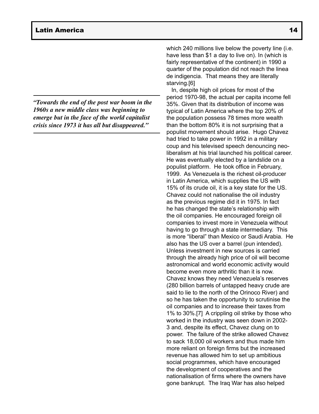*"Towards the end of the post war boom in the 1960s a new middle class was beginning to emerge but in the face of the world capitalist crisis since 1973 it has all but disappeared."*

which 240 millions live below the poverty line *(i.e.*) have less than \$1 a day to live on). In (which is fairly representative of the continent) in 1990 a quarter of the population did not reach the linea de indigencia. That means they are literally starving.[6]

In, despite high oil prices for most of the period 1970-98, the actual per capita income fell 35%. Given that its distribution of income was typical of Latin America where the top 20% of the population possess 78 times more wealth than the bottom 80% it is not surprising that a populist movement should arise. Hugo Chavez had tried to take power in 1992 in a military coup and his televised speech denouncing neoliberalism at his trial launched his political career. He was eventually elected by a landslide on a populist platform. He took office in February, 1999. As Venezuela is the richest oil-producer in Latin America, which supplies the US with 15% of its crude oil, it is a key state for the US. Chavez could not nationalise the oil industry as the previous regime did it in 1975. In fact he has changed the state's relationship with the oil companies. He encouraged foreign oil companies to invest more in Venezuela without having to go through a state intermediary. This is more "liberal" than Mexico or Saudi Arabia. He also has the US over a barrel (pun intended). Unless investment in new sources is carried through the already high price of oil will become astronomical and world economic activity would become even more arthritic than it is now. Chavez knows they need Venezuela's reserves (280 billion barrels of untapped heavy crude are said to lie to the north of the Orinoco River) and so he has taken the opportunity to scrutinise the oil companies and to increase their taxes from 1% to 30%.[7] A crippling oil strike by those who worked in the industry was seen down in 2002- 3 and, despite its effect, Chavez clung on to power. The failure of the strike allowed Chavez to sack 18,000 oil workers and thus made him more reliant on foreign firms but the increased revenue has allowed him to set up ambitious social programmes, which have encouraged the development of cooperatives and the nationalisation of firms where the owners have gone bankrupt. The Iraq War has also helped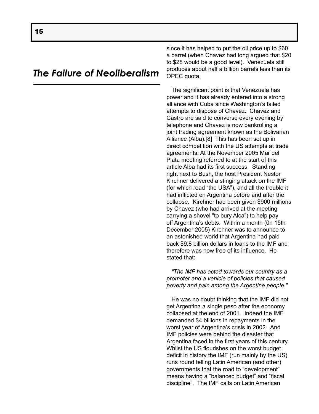### *The Failure of Neoliberalism*

since it has helped to put the oil price up to \$60 a barrel (when Chavez had long argued that \$20 to \$28 would be a good level). Venezuela still produces about half a billion barrels less than its OPEC quota.

The significant point is that Venezuela has power and it has already entered into a strong alliance with Cuba since Washington's failed attempts to dispose of Chavez. Chavez and Castro are said to converse every evening by telephone and Chavez is now bankrolling a joint trading agreement known as the Bolivarian Alliance (Alba).[8] This has been set up in direct competition with the US attempts at trade agreements. At the November 2005 Mar del Plata meeting referred to at the start of this article Alba had its first success. Standing right next to Bush, the host President Nestor Kirchner delivered a stinging attack on the IMF (for which read "the USA"), and all the trouble it had inflicted on Argentina before and after the collapse. Kirchner had been given \$900 millions by Chavez (who had arrived at the meeting carrying a shovel "to bury Alca") to help pay off Argentina's debts. Within a month (0n 15th December 2005) Kirchner was to announce to an astonished world that Argentina had paid back \$9.8 billion dollars in loans to the IMF and therefore was now free of its influence. He stated that:

*"The IMF has acted towards our country as a promoter and a vehicle of policies that caused poverty and pain among the Argentine people."*

He was no doubt thinking that the IMF did not get Argentina a single peso after the economy collapsed at the end of 2001. Indeed the IMF demanded \$4 billions in repayments in the worst year of Argentina's crisis in 2002. And IMF policies were behind the disaster that Argentina faced in the first years of this century. Whilst the US flourishes on the worst budget deficit in history the IMF (run mainly by the US) runs round telling Latin American (and other) governments that the road to "development" means having a "balanced budget" and "fiscal discipline". The IMF calls on Latin American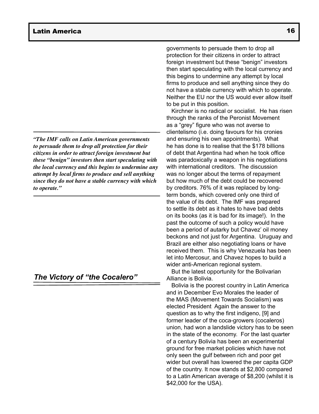*"The IMF calls on Latin American governments to persuade them to drop all protection for their citizens in order to attract foreign investment but these "benign" investors then start speculating with the local currency and this begins to undermine any attempt by local firms to produce and sell anything since they do not have a stable currency with which to operate."*

### *The Victory of "the Cocalero"*

governments to persuade them to drop all protection for their citizens in order to attract foreign investment but these "benign" investors then start speculating with the local currency and this begins to undermine any attempt by local firms to produce and sell anything since they do not have a stable currency with which to operate. Neither the EU nor the US would ever allow itself to be put in this position.

Kirchner is no radical or socialist. He has risen through the ranks of the Peronist Movement as a "grey" figure who was not averse to clientelismo (i.e. doing favours for his cronies and ensuring his own appointments). What he has done is to realise that the \$178 billions of debt that Argentina had when he took office was paradoxically a weapon in his negotiations with international creditors. The discussion was no longer about the terms of repayment but how much of the debt could be recovered by creditors. 76% of it was replaced by longterm bonds, which covered only one third of the value of its debt. The IMF was prepared to settle its debt as it hates to have bad debts on its books (as it is bad for its image!). In the past the outcome of such a policy would have been a period of autarky but Chavez' oil money beckons and not just for Argentina. Uruguay and Brazil are either also negotiating loans or have received them. This is why Venezuela has been let into Mercosur, and Chavez hopes to build a wider anti-American regional system.

But the latest opportunity for the Bolivarian Alliance is Bolivia.

Bolivia is the poorest country in Latin America and in December Evo Morales the leader of the MAS (Movement Towards Socialism) was elected President Again the answer to the question as to why the first indigeno, [9] and former leader of the coca-growers (cocaleros) union, had won a landslide victory has to be seen in the state of the economy. For the last quarter of a century Bolivia has been an experimental ground for free market policies which have not only seen the gulf between rich and poor get wider but overall has lowered the per capita GDP of the country. It now stands at \$2,800 compared to a Latin American average of \$8,200 (whilst it is \$42,000 for the USA).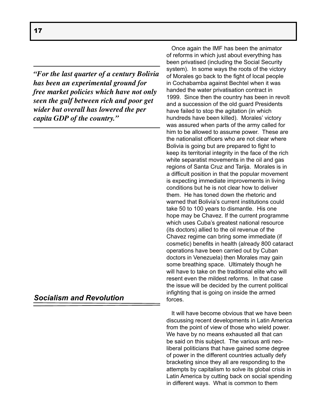*"For the last quarter of a century Bolivia has been an experimental ground for free market policies which have not only seen the gulf between rich and poor get wider but overall has lowered the per capita GDP of the country."*

### *Socialism and Revolution*

Once again the IMF has been the animator of reforms in which just about everything has been privatised (including the Social Security system). In some ways the roots of the victory of Morales go back to the fight of local people in Cochabamba against Bechtel when it was handed the water privatisation contract in 1999. Since then the country has been in revolt and a succession of the old guard Presidents have failed to stop the agitation (in which hundreds have been killed). Morales' victory was assured when parts of the army called for him to be allowed to assume power. These are the nationalist officers who are not clear where Bolivia is going but are prepared to fight to keep its territorial integrity in the face of the rich white separatist movements in the oil and gas regions of Santa Cruz and Tarija. Morales is in a difficult position in that the popular movement is expecting immediate improvements in living conditions but he is not clear how to deliver them. He has toned down the rhetoric and warned that Bolivia's current institutions could take 50 to 100 years to dismantle. His one hope may be Chavez. If the current programme which uses Cuba's greatest national resource (its doctors) allied to the oil revenue of the Chavez regime can bring some immediate (if cosmetic) benefits in health (already 800 cataract operations have been carried out by Cuban doctors in Venezuela) then Morales may gain some breathing space. Ultimately though he will have to take on the traditional elite who will resent even the mildest reforms. In that case the issue will be decided by the current political infighting that is going on inside the armed forces.

It will have become obvious that we have been discussing recent developments in Latin America from the point of view of those who wield power. We have by no means exhausted all that can be said on this subject. The various anti neoliberal politicians that have gained some degree of power in the different countries actually defy bracketing since they all are responding to the attempts by capitalism to solve its global crisis in Latin America by cutting back on social spending in different ways. What is common to them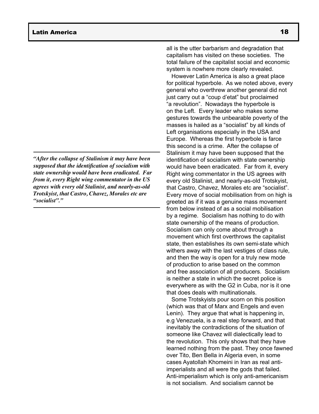*"After the collapse of Stalinism it may have been supposed that the identification of socialism with state ownership would have been eradicated. Far from it, every Right wing commentator in the US agrees with every old Stalinist, and nearly-as-old Trotskyist, that Castro, Chavez, Morales etc are "socialist"."*

all is the utter barbarism and degradation that capitalism has visited on these societies. The total failure of the capitalist social and economic system is nowhere more clearly revealed.

However Latin America is also a great place for political hyperbole. As we noted above, every general who overthrew another general did not just carry out a "coup d'etat" but proclaimed "a revolution". Nowadays the hyperbole is on the Left. Every leader who makes some gestures towards the unbearable poverty of the masses is hailed as a "socialist" by all kinds of Left organisations especially in the USA and Europe. Whereas the first hyperbole is farce this second is a crime. After the collapse of Stalinism it may have been supposed that the identification of socialism with state ownership would have been eradicated. Far from it, every Right wing commentator in the US agrees with every old Stalinist, and nearly-as-old Trotskyist, that Castro, Chavez, Morales etc are "socialist". Every move of social mobilisation from on high is greeted as if it was a genuine mass movement from below instead of as a social mobilisation by a regime. Socialism has nothing to do with state ownership of the means of production. Socialism can only come about through a movement which first overthrows the capitalist state, then establishes its own semi-state which withers away with the last vestiges of class rule, and then the way is open for a truly new mode of production to arise based on the common and free association of all producers. Socialism is neither a state in which the secret police is everywhere as with the G2 in Cuba, nor is it one that does deals with multinationals.

Some Trotskyists pour scorn on this position (which was that of Marx and Engels and even Lenin). They argue that what is happening in, e.g Venezuela, is a real step forward, and that inevitably the contradictions of the situation of someone like Chavez will dialectically lead to the revolution. This only shows that they have learned nothing from the past. They once fawned over Tito, Ben Bella in Algeria even, in some cases Ayatollah Khomeini in Iran as real antiimperialists and all were the gods that failed. Anti-imperialism which is only anti-americanism is not socialism. And socialism cannot be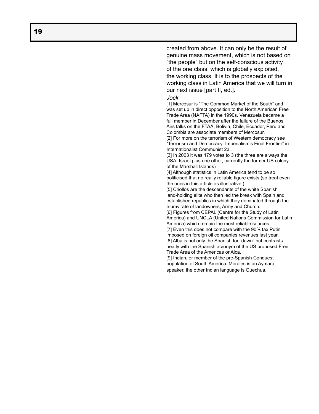created from above. It can only be the result of genuine mass movement, which is not based on "the people" but on the self-conscious activity of the one class, which is globally exploited, the working class. It is to the prospects of the working class in Latin America that we will turn in our next issue [part II, ed.].

#### *Jock*

[1] Mercosur is "The Common Market of the South" and was set up in direct opposition to the North American Free Trade Area (NAFTA) in the 1990s. Venezuela became a full member in December after the failure of the Buenos Airs talks on the FTAA. Bolivia, Chile, Ecuador, Peru and Colombia are associate members of Mercosur.

[2] For more on the terrorism of Western democracy see "Terrorism and Democracy: Imperialism's Final Frontier" in Internationalist Communist 23.

[3] In 2003 it was 179 votes to 3 (the three are always the USA, Israel plus one other, currently the former US colony of the Marshall Islands)

[4] Although statistics in Latin America tend to be so politicised that no really reliable figure exists (so treat even the ones in this article as illustrative!).

[5] Criollos are the descendants of the white Spanish land-holding elite who then led the break with Spain and established republics in which they dominated through the triumvirate of landowners, Army and Church.

[6] Figures from CEPAL (Centre for the Study of Latin America) and UNCLA (United Nations Commission for Latin America) which remain the most reliable sources.

[7] Even this does not compare with the 90% tax Putin imposed on foreign oil companies revenues last year. [8] Alba is not only the Spanish for "dawn" but contrasts neatly with the Spanish acronym of the US proposed Free Trade Area of the Americas or Alca.

[9] Indian, or member of the pre-Spanish Conquest population of South America. Morales is an Aymara speaker, the other Indian language is Quechua.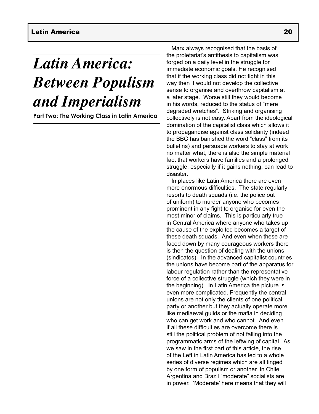# *Latin America: Between Populism and Imperialism*

**Part Two: The Working Class in Latin America**

Marx always recognised that the basis of the proletariat's antithesis to capitalism was forged on a daily level in the struggle for immediate economic goals. He recognised that if the working class did not fight in this way then it would not develop the collective sense to organise and overthrow capitalism at a later stage. Worse still they would become in his words, reduced to the status of "mere degraded wretches". Striking and organising collectively is not easy. Apart from the ideological domination of the capitalist class which allows it to propagandise against class solidarity (indeed the BBC has banished the word "class" from its bulletins) and persuade workers to stay at work no matter what, there is also the simple material fact that workers have families and a prolonged struggle, especially if it gains nothing, can lead to disaster.

In places like Latin America there are even more enormous difficulties. The state regularly resorts to death squads (i.e. the police out of uniform) to murder anyone who becomes prominent in any fight to organise for even the most minor of claims. This is particularly true in Central America where anyone who takes up the cause of the exploited becomes a target of these death squads. And even when these are faced down by many courageous workers there is then the question of dealing with the unions (sindicatos). In the advanced capitalist countries the unions have become part of the apparatus for labour regulation rather than the representative force of a collective struggle (which they were in the beginning). In Latin America the picture is even more complicated. Frequently the central unions are not only the clients of one political party or another but they actually operate more like mediaeval guilds or the mafia in deciding who can get work and who cannot. And even if all these difficulties are overcome there is still the political problem of not falling into the programmatic arms of the leftwing of capital. As we saw in the first part of this article, the rise of the Left in Latin America has led to a whole series of diverse regimes which are all tinged by one form of populism or another. In Chile, Argentina and Brazil "moderate" socialists are in power. 'Moderate' here means that they will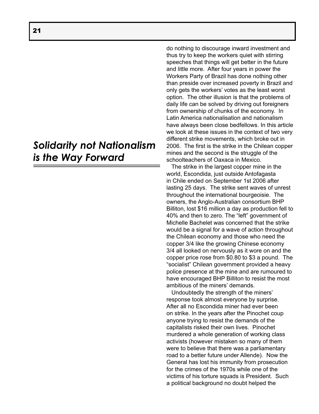## *Solidarity not Nationalism is the Way Forward*

do nothing to discourage inward investment and thus try to keep the workers quiet with stirring speeches that things will get better in the future and little more. After four years in power the Workers Party of Brazil has done nothing other than preside over increased poverty in Brazil and only gets the workers' votes as the least worst option. The other illusion is that the problems of daily life can be solved by driving out foreigners from ownership of chunks of the economy. In Latin America nationalisation and nationalism have always been close bedfellows. In this article we look at these issues in the context of two very different strike movements, which broke out in 2006. The first is the strike in the Chilean copper mines and the second is the struggle of the schoolteachers of Oaxaca in Mexico.

The strike in the largest copper mine in the world, Escondida, just outside Antofagasta in Chile ended on September 1st 2006 after lasting 25 days. The strike sent waves of unrest throughout the international bourgeoisie. The owners, the Anglo-Australian consortium BHP Billiton, lost \$16 million a day as production fell to 40% and then to zero. The "left" government of Michelle Bachelet was concerned that the strike would be a signal for a wave of action throughout the Chilean economy and those who need the copper 3/4 like the growing Chinese economy 3/4 all looked on nervously as it wore on and the copper price rose from \$0.80 to \$3 a pound. The "socialist" Chilean government provided a heavy police presence at the mine and are rumoured to have encouraged BHP Billiton to resist the most ambitious of the miners' demands.

Undoubtedly the strength of the miners' response took almost everyone by surprise. After all no Escondida miner had ever been on strike. In the years after the Pinochet coup anyone trying to resist the demands of the capitalists risked their own lives. Pinochet murdered a whole generation of working class activists (however mistaken so many of them were to believe that there was a parliamentary road to a better future under Allende). Now the General has lost his immunity from prosecution for the crimes of the 1970s while one of the victims of his torture squads is President. Such a political background no doubt helped the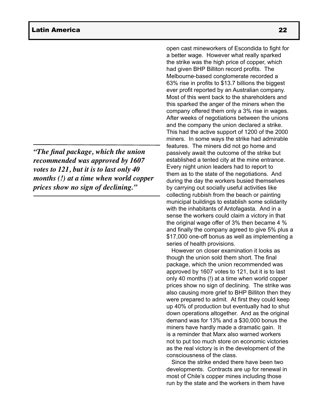*"The final package, which the union recommended was approved by 1607 votes to 121, but it is to last only 40 months (!) at a time when world copper prices show no sign of declining."*

open cast mineworkers of Escondida to fight for a better wage. However what really sparked the strike was the high price of copper, which had given BHP Billiton record profits. The Melbourne-based conglomerate recorded a 63% rise in profits to \$13.7 billions the biggest ever profit reported by an Australian company. Most of this went back to the shareholders and this sparked the anger of the miners when the company offered them only a 3% rise in wages. After weeks of negotiations between the unions and the company the union declared a strike. This had the active support of 1200 of the 2000 miners. In some ways the strike had admirable features. The miners did not go home and passively await the outcome of the strike but established a tented city at the mine entrance. Every night union leaders had to report to them as to the state of the negotiations. And during the day the workers busied themselves by carrying out socially useful activities like collecting rubbish from the beach or painting municipal buildings to establish some solidarity with the inhabitants of Antofagasta. And in a sense the workers could claim a victory in that the original wage offer of 3% then became 4 % and finally the company agreed to give 5% plus a \$17,000 one-off bonus as well as implementing a series of health provisions.

However on closer examination it looks as though the union sold them short. The final package, which the union recommended was approved by 1607 votes to 121, but it is to last only 40 months (!) at a time when world copper prices show no sign of declining. The strike was also causing more grief to BHP Billiton then they were prepared to admit. At first they could keep up 40% of production but eventually had to shut down operations altogether. And as the original demand was for 13% and a \$30,000 bonus the miners have hardly made a dramatic gain. It is a reminder that Marx also warned workers not to put too much store on economic victories as the real victory is in the development of the consciousness of the class.

Since the strike ended there have been two developments. Contracts are up for renewal in most of Chile's copper mines including those run by the state and the workers in them have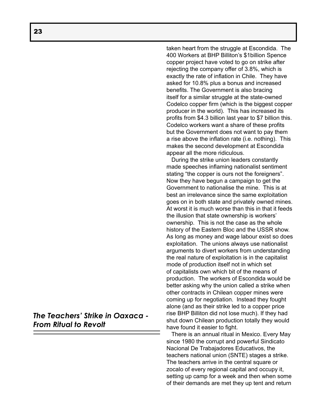*The Teachers' Strike in Oaxaca - From Ritual to Revolt*

taken heart from the struggle at Escondida. The 400 Workers at BHP Billiton's \$1billion Spence copper project have voted to go on strike after rejecting the company offer of 3.8%, which is exactly the rate of inflation in Chile. They have asked for 10.8% plus a bonus and increased benefits. The Government is also bracing itself for a similar struggle at the state-owned Codelco copper firm (which is the biggest copper producer in the world). This has increased its profits from \$4.3 billion last year to \$7 billion this. Codelco workers want a share of these profits but the Government does not want to pay them a rise above the inflation rate (i.e. nothing). This makes the second development at Escondida appear all the more ridiculous.

During the strike union leaders constantly made speeches inflaming nationalist sentiment stating "the copper is ours not the foreigners". Now they have begun a campaign to get the Government to nationalise the mine. This is at best an irrelevance since the same exploitation goes on in both state and privately owned mines. At worst it is much worse than this in that it feeds the illusion that state ownership is workers' ownership. This is not the case as the whole history of the Eastern Bloc and the USSR show. As long as money and wage labour exist so does exploitation. The unions always use nationalist arguments to divert workers from understanding the real nature of exploitation is in the capitalist mode of production itself not in which set of capitalists own which bit of the means of production. The workers of Escondida would be better asking why the union called a strike when other contracts in Chilean copper mines were coming up for negotiation. Instead they fought alone (and as their strike led to a copper price rise BHP Billiton did not lose much). If they had shut down Chilean production totally they would have found it easier to fight.

There is an annual ritual in Mexico. Every May since 1980 the corrupt and powerful Sindicato Nacional De Trabajadores Educativos, the teachers national union (SNTE) stages a strike. The teachers arrive in the central square or zocalo of every regional capital and occupy it, setting up camp for a week and then when some of their demands are met they up tent and return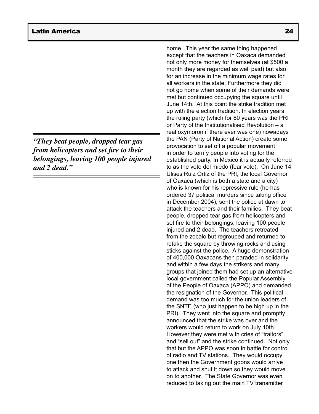*"They beat people, dropped tear gas from helicopters and set fire to their belongings, leaving 100 people injured and 2 dead."*

home. This year the same thing happened except that the teachers in Oaxaca demanded not only more money for themselves (at \$500 a month they are regarded as well paid) but also for an increase in the minimum wage rates for all workers in the state. Furthermore they did not go home when some of their demands were met but continued occupying the square until June 14th. At this point the strike tradition met up with the election tradition. In election years the ruling party (which for 80 years was the PRI or Party of the Institutionalised Revolution – a real oxymoron if there ever was one) nowadays the PAN (Party of National Action) create some provocation to set off a popular movement in order to terrify people into voting for the established party. In Mexico it is actually referred to as the voto del miedo (fear vote). On June 14 Ulises Ruiz Ortiz of the PRI, the local Governor of Oaxaca (which is both a state and a city) who is known for his repressive rule (he has ordered 37 political murders since taking office in December 2004), sent the police at dawn to attack the teachers and their families. They beat people, dropped tear gas from helicopters and set fire to their belongings, leaving 100 people injured and 2 dead. The teachers retreated from the zocalo but regrouped and returned to retake the square by throwing rocks and using sticks against the police. A huge demonstration of 400,000 Oaxacans then paraded in solidarity and within a few days the strikers and many groups that joined them had set up an alternative local government called the Popular Assembly of the People of Oaxaca (APPO) and demanded the resignation of the Governor. This political demand was too much for the union leaders of the SNTE (who just happen to be high up in the PRI). They went into the square and promptly announced that the strike was over and the workers would return to work on July 10th. However they were met with cries of "traitors" and "sell out" and the strike continued. Not only that but the APPO was soon in battle for control of radio and TV stations. They would occupy one then the Government goons would arrive to attack and shut it down so they would move on to another. The State Governor was even reduced to taking out the main TV transmitter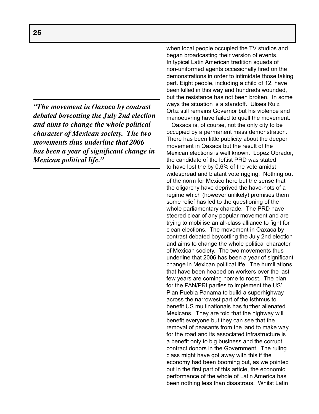*"The movement in Oaxaca by contrast debated boycotting the July 2nd election and aims to change the whole political character of Mexican society. The two movements thus underline that 2006 has been a year of significant change in Mexican political life."*

when local people occupied the TV studios and began broadcasting their version of events. In typical Latin American tradition squads of non-uniformed agents occasionally fired on the demonstrations in order to intimidate those taking part. Eight people, including a child of 12, have been killed in this way and hundreds wounded, but the resistance has not been broken. In some ways the situation is a standoff. Ulises Ruiz Ortiz still remains Governor but his violence and manoeuvring have failed to quell the movement.

Oaxaca is, of course, not the only city to be occupied by a permanent mass demonstration. There has been little publicity about the deeper movement in Oaxaca but the result of the Mexican elections is well known. Lopez Obrador, the candidate of the leftist PRD was stated to have lost the by 0.6% of the vote amidst widespread and blatant vote rigging. Nothing out of the norm for Mexico here but the sense that the oligarchy have deprived the have-nots of a regime which (however unlikely) promises them some relief has led to the questioning of the whole parliamentary charade. The PRD have steered clear of any popular movement and are trying to mobilise an all-class alliance to fight for clean elections. The movement in Oaxaca by contrast debated boycotting the July 2nd election and aims to change the whole political character of Mexican society. The two movements thus underline that 2006 has been a year of significant change in Mexican political life. The humiliations that have been heaped on workers over the last few years are coming home to roost. The plan for the PAN/PRI parties to implement the US' Plan Puebla Panama to build a superhighway across the narrowest part of the isthmus to benefit US multinationals has further alienated Mexicans. They are told that the highway will benefit everyone but they can see that the removal of peasants from the land to make way for the road and its associated infrastructure is a benefit only to big business and the corrupt contract donors in the Government. The ruling class might have got away with this if the economy had been booming but, as we pointed out in the first part of this article, the economic performance of the whole of Latin America has been nothing less than disastrous. Whilst Latin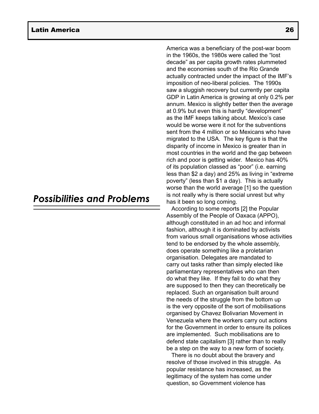### *Possibilities and Problems*

America was a beneficiary of the post-war boom in the 1960s, the 1980s were called the "lost decade" as per capita growth rates plummeted and the economies south of the Rio Grande actually contracted under the impact of the IMF's imposition of neo-liberal policies. The 1990s saw a sluggish recovery but currently per capita GDP in Latin America is growing at only 0.2% per annum. Mexico is slightly better then the average at 0.9% but even this is hardly "development" as the IMF keeps talking about. Mexico's case would be worse were it not for the subventions sent from the 4 million or so Mexicans who have migrated to the USA. The key figure is that the disparity of income in Mexico is greater than in most countries in the world and the gap between rich and poor is getting wider. Mexico has 40% of its population classed as "poor" (i.e. earning less than \$2 a day) and 25% as living in "extreme poverty" (less than \$1 a day). This is actually worse than the world average [1] so the question is not really why is there social unrest but why has it been so long coming.

According to some reports [2] the Popular Assembly of the People of Oaxaca (APPO), although constituted in an ad hoc and informal fashion, although it is dominated by activists from various small organisations whose activities tend to be endorsed by the whole assembly, does operate something like a proletarian organisation. Delegates are mandated to carry out tasks rather than simply elected like parliamentary representatives who can then do what they like. If they fail to do what they are supposed to then they can theoretically be replaced. Such an organisation built around the needs of the struggle from the bottom up is the very opposite of the sort of mobilisations organised by Chavez Bolivarian Movement in Venezuela where the workers carry out actions for the Government in order to ensure its polices are implemented. Such mobilisations are to defend state capitalism [3] rather than to really be a step on the way to a new form of society.

There is no doubt about the bravery and resolve of those involved in this struggle. As popular resistance has increased, as the legitimacy of the system has come under question, so Government violence has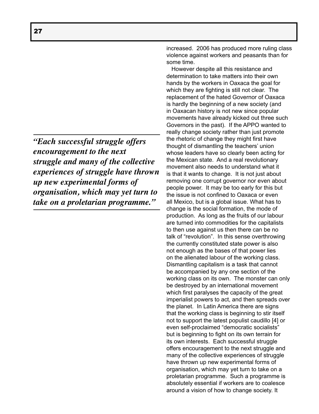*"Each successful struggle offers encouragement to the next struggle and many of the collective experiences of struggle have thrown up new experimental forms of organisation, which may yet turn to take on a proletarian programme."*

increased. 2006 has produced more ruling class violence against workers and peasants than for some time.

However despite all this resistance and determination to take matters into their own hands by the workers in Oaxaca the goal for which they are fighting is still not clear. The replacement of the hated Governor of Oaxaca is hardly the beginning of a new society (and in Oaxacan history is not new since popular movements have already kicked out three such Governors in the past). If the APPO wanted to really change society rather than just promote the rhetoric of change they might first have thought of dismantling the teachers' union whose leaders have so clearly been acting for the Mexican state. And a real revolutionary movement also needs to understand what it is that it wants to change. It is not just about removing one corrupt governor nor even about people power. It may be too early for this but the issue is not confined to Oaxaca or even all Mexico, but is a global issue. What has to change is the social formation, the mode of production. As long as the fruits of our labour are turned into commodities for the capitalists to then use against us then there can be no talk of "revolution". In this sense overthrowing the currently constituted state power is also not enough as the bases of that power lies on the alienated labour of the working class. Dismantling capitalism is a task that cannot be accompanied by any one section of the working class on its own. The monster can only be destroyed by an international movement which first paralyses the capacity of the great imperialist powers to act, and then spreads over the planet. In Latin America there are signs that the working class is beginning to stir itself not to support the latest populist caudillo [4] or even self-proclaimed "democratic socialists" but is beginning to fight on its own terrain for its own interests. Each successful struggle offers encouragement to the next struggle and many of the collective experiences of struggle have thrown up new experimental forms of organisation, which may yet turn to take on a proletarian programme. Such a programme is absolutely essential if workers are to coalesce around a vision of how to change society. It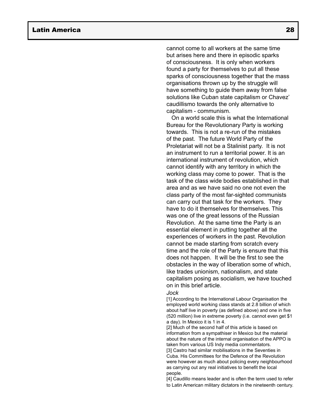cannot come to all workers at the same time but arises here and there in episodic sparks of consciousness. It is only when workers found a party for themselves to put all these sparks of consciousness together that the mass organisations thrown up by the struggle will have something to guide them away from false solutions like Cuban state capitalism or Chavez' caudillismo towards the only alternative to capitalism - communism.

On a world scale this is what the International Bureau for the Revolutionary Party is working towards. This is not a re-run of the mistakes of the past. The future World Party of the Proletariat will not be a Stalinist party. It is not an instrument to run a territorial power. It is an international instrument of revolution, which cannot identify with any territory in which the working class may come to power. That is the task of the class wide bodies established in that area and as we have said no one not even the class party of the most far-sighted communists can carry out that task for the workers. They have to do it themselves for themselves. This was one of the great lessons of the Russian Revolution. At the same time the Party is an essential element in putting together all the experiences of workers in the past. Revolution cannot be made starting from scratch every time and the role of the Party is ensure that this does not happen. It will be the first to see the obstacles in the way of liberation some of which, like trades unionism, nationalism, and state capitalism posing as socialism, we have touched on in this brief article.

#### *Jock*

[1] According to the International Labour Organisation the employed world working class stands at 2.8 billion of which about half live in poverty (as defined above) and one in five (520 million) live in extreme poverty (i.e. cannot even get \$1 a day). In Mexico it is 1 in 4.

[2] Much of the second half of this article is based on information from a sympathiser in Mexico but the material about the nature of the internal organisation of the APPO is taken from various US Indy media commentators.

[3] Castro had similar mobilisations in the Seventies in Cuba. His Committees for the Defence of the Revolution were however as much about policing every neighbourhood as carrying out any real initiatives to benefit the local people.

[4] Caudillo means leader and is often the term used to refer to Latin American military dictators in the nineteenth century.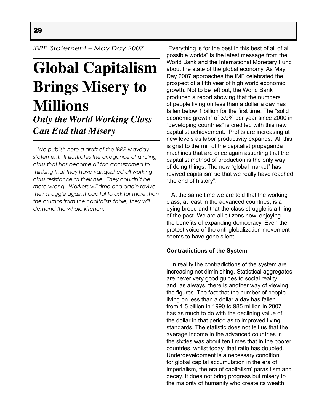*IBRP Statement – May Day 2007*

## **Global Capitalism Brings Misery to Millions** *Only the World Working Class Can End that Misery*

 *We publish here a draft of the IBRP Mayday statement. It illustrates the arrogance of a ruling class that has become all too accustomed to thinking that they have vanquished all working class resistance to their rule. They couldn't be more wrong. Workers will time and again revive their struggle against capital to ask for more than the crumbs from the capitalists table, they will demand the whole kitchen.*

"Everything is for the best in this best of all of all possible worlds" is the latest message from the World Bank and the International Monetary Fund about the state of the global economy. As May Day 2007 approaches the IMF celebrated the prospect of a fifth year of high world economic growth. Not to be left out, the World Bank produced a report showing that the numbers of people living on less than a dollar a day has fallen below 1 billion for the first time. The "solid economic growth" of 3.9% per year since 2000 in "developing countries" is credited with this new capitalist achievement. Profits are increasing at new levels as labor productivity expands. All this is grist to the mill of the capitalist propaganda machines that are once again asserting that the capitalist method of production is the only way of doing things. The new "global market" has revived capitalism so that we really have reached "the end of history".

 At the same time we are told that the working class, at least in the advanced countries, is a dying breed and that the class struggle is a thing of the past. We are all citizens now, enjoying the benefits of expanding democracy. Even the protest voice of the anti-globalization movement seems to have gone silent.

### **Contradictions of the System**

 In reality the contradictions of the system are increasing not diminishing. Statistical aggregates are never very good guides to social reality and, as always, there is another way of viewing the figures. The fact that the number of people living on less than a dollar a day has fallen from 1.5 billion in 1990 to 985 million in 2007 has as much to do with the declining value of the dollar in that period as to improved living standards. The statistic does not tell us that the average income in the advanced countries in the sixties was about ten times that in the poorer countries, whilst today, that ratio has doubled. Underdevelopment is a necessary condition for global capital accumulation in the era of imperialism, the era of capitalism' parasitism and decay. It does not bring progress but misery to the majority of humanity who create its wealth.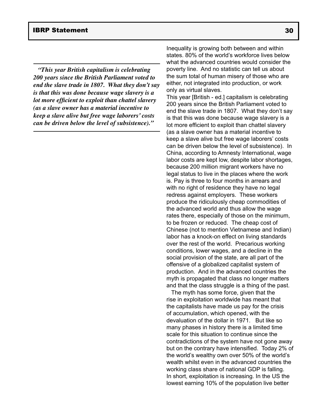*"This year British capitalism is celebrating 200 years since the British Parliament voted to end the slave trade in 1807. What they don't say is that this was done because wage slavery is a lot more efficient to exploit than chattel slavery (as a slave owner has a material incentive to keep a slave alive but free wage laborers' costs can be driven below the level of subsistence)."*

Inequality is growing both between and within states. 80% of the world's workforce lives below what the advanced countries would consider the poverty line. And no statistic can tell us about the sum total of human misery of those who are either, not integrated into production, or work only as virtual slaves.

This year [British - ed.] capitalism is celebrating 200 years since the British Parliament voted to end the slave trade in 1807. What they don't say is that this was done because wage slavery is a lot more efficient to exploit than chattel slavery (as a slave owner has a material incentive to keep a slave alive but free wage laborers' costs can be driven below the level of subsistence). In China, according to Amnesty International, wage labor costs are kept low, despite labor shortages, because 200 million migrant workers have no legal status to live in the places where the work is. Pay is three to four months in arrears and with no right of residence they have no legal redress against employers. These workers produce the ridiculously cheap commodities of the advanced world and thus allow the wage rates there, especially of those on the minimum, to be frozen or reduced. The cheap cost of Chinese (not to mention Vietnamese and Indian) labor has a knock-on effect on living standards over the rest of the world. Precarious working conditions, lower wages, and a decline in the social provision of the state, are all part of the offensive of a globalized capitalist system of production. And in the advanced countries the myth is propagated that class no longer matters and that the class struggle is a thing of the past.

 The myth has some force, given that the rise in exploitation worldwide has meant that the capitalists have made us pay for the crisis of accumulation, which opened, with the devaluation of the dollar in 1971. But like so many phases in history there is a limited time scale for this situation to continue since the contradictions of the system have not gone away but on the contrary have intensified. Today 2% of the world's wealthy own over 50% of the world's wealth whilst even in the advanced countries the working class share of national GDP is falling. In short, exploitation is increasing. In the US the lowest earning 10% of the population live better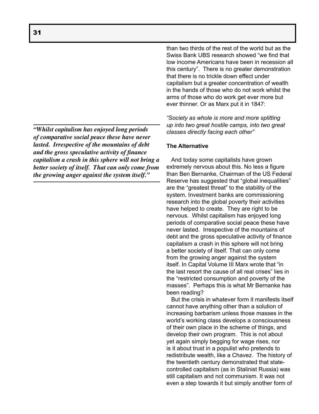*"Whilst capitalism has enjoyed long periods of comparative social peace these have never lasted. Irrespective of the mountains of debt and the gross speculative activity of finance capitalism a crash in this sphere will not bring a better society of itself. That can only come from the growing anger against the system itself."*

than two thirds of the rest of the world but as the Swiss Bank UBS research showed "we find that low income Americans have been in recession all this century". There is no greater demonstration that there is no trickle down effect under capitalism but a greater concentration of wealth in the hands of those who do not work whilst the arms of those who do work get ever more but ever thinner. Or as Marx put it in 1847:

*"Society as whole is more and more splitting up into two great hostile camps, into two great classes directly facing each other"*

### **The Alternative**

 And today some capitalists have grown extremely nervous about this. No less a figure than Ben Bernanke, Chairman of the US Federal Reserve has suggested that "global inequalities" are the "greatest threat" to the stability of the system. Investment banks are commissioning research into the global poverty their activities have helped to create. They are right to be nervous. Whilst capitalism has enjoyed long periods of comparative social peace these have never lasted. Irrespective of the mountains of debt and the gross speculative activity of finance capitalism a crash in this sphere will not bring a better society of itself. That can only come from the growing anger against the system itself. In Capital Volume III Marx wrote that "in the last resort the cause of all real crises" lies in the "restricted consumption and poverty of the masses". Perhaps this is what Mr Bernanke has been reading?

 But the crisis in whatever form it manifests itself cannot have anything other than a solution of increasing barbarism unless those masses in the world's working class develops a consciousness of their own place in the scheme of things, and develop their own program. This is not about yet again simply begging for wage rises, nor is it about trust in a populist who pretends to redistribute wealth, like a Chavez. The history of the twentieth century demonstrated that statecontrolled capitalism (as in Stalinist Russia) was still capitalism and not communism. It was not even a step towards it but simply another form of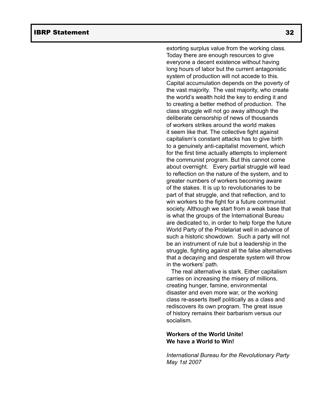extorting surplus value from the working class. Today there are enough resources to give everyone a decent existence without having long hours of labor but the current antagonistic system of production will not accede to this. Capital accumulation depends on the poverty of the vast majority. The vast majority, who create the world's wealth hold the key to ending it and to creating a better method of production. The class struggle will not go away although the deliberate censorship of news of thousands of workers strikes around the world makes it seem like that. The collective fight against capitalism's constant attacks has to give birth to a genuinely anti-capitalist movement, which for the first time actually attempts to implement the communist program. But this cannot come about overnight. Every partial struggle will lead to reflection on the nature of the system, and to greater numbers of workers becoming aware of the stakes. It is up to revolutionaries to be part of that struggle, and that reflection, and to win workers to the fight for a future communist society. Although we start from a weak base that is what the groups of the International Bureau are dedicated to, in order to help forge the future World Party of the Proletariat well in advance of such a historic showdown. Such a party will not be an instrument of rule but a leadership in the struggle, fighting against all the false alternatives that a decaying and desperate system will throw in the workers' path.

 The real alternative is stark. Either capitalism carries on increasing the misery of millions, creating hunger, famine, environmental disaster and even more war, or the working class re-asserts itself politically as a class and rediscovers its own program. The great issue of history remains their barbarism versus our socialism.

### **Workers of the World Unite! We have a World to Win!**

*International Bureau for the Revolutionary Party May 1st 2007*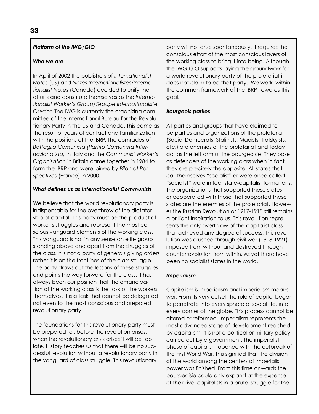### *Platform of the IWG/GIO*

### *Who we are*

In April of 2002 the publishers of *Internationalist Notes* (US) and *Notes Internationalistes/Internationalist Notes* (Canada) decided to unify their efforts and constitute themselves as the *Internationalist Worker's Group/Groupe Internationaliste Ouvrier*. The IWG is currently the organizing committee of the International Bureau for the Revolutionary Party in the US and Canada. This came as the result of years of contact and familiarization with the positions of the IBRP. The comrades of *Battaglia Comunista (Partito Comunista Internazionalista)* in Italy and the *Communist Worker's Organisation* in Britain came together in 1984 to form the IBRP and were joined by *Bilan et Perspectives* (France) in 2000.

### *What defines us as Internationalist Communists*

We believe that the world revolutionary party is indispensable for the overthrow of the dictatorship of capital. This party must be the product of worker's struggles and represent the most conscious vanguard elements of the working class. This vanguard is not in any sense an elite group standing above and apart from the struggles of the class. It is not a party of generals giving orders rather it is on the frontlines of the class struggle. The party draws out the lessons of these struggles and points the way forward for the class. It has always been our position that the emancipation of the working class is the task of the workers themselves. It is a task that cannot be delegated, not even to the most conscious and prepared revolutionary party.

The foundations for this revolutionary party must be prepared for, before the revolution arises; when the revolutionary crisis arises it will be too late. History teaches us that there will be no successful revolution without a revolutionary party in the vanguard of class struggle. This revolutionary

party will not arise spontaneously. It requires the conscious effort of the most conscious layers of the working class to bring it into being. Although the IWG-GIO supports laying the groundwork for a world revolutionary party of the proletariat it does not claim to be that party. We work, within the common framework of the IBRP, towards this goal.

### *Bourgeois parties*

All parties and groups that have claimed to be parties and organizations of the proletariat (Social Democrats, Stalinists, Maoists, Trotskyists, etc.) are enemies of the proletariat and today act as the left arm of the bourgeoisie. They pose as defenders of the working class when in fact they are precisely the opposite. All states that call themselves "socialist" or were once called "socialist" were in fact state-capitalist formations. The organizations that supported these states or cooperated with those that supported those states are the enemies of the proletariat. However the Russian Revolution of 1917-1918 still remains a brilliant inspiration to us. This revolution represents the only overthrow of the capitalist class that achieved any degree of success. This revolution was crushed through civil war (1918-1921) imposed from without and destroyed through counterrevolution from within. As yet there have been no socialist states in the world.

### *Imperialism*

Capitalism is imperialism and imperialism means war. From its very outset the rule of capital began to penetrate into every sphere of social life, into every corner of the globe. This process cannot be altered or reformed. Imperialism represents the most advanced stage of development reached by capitalism, it is not a political or military policy carried out by a government. The imperialist phase of capitalism opened with the outbreak of the First World War. This signified that the division of the world among the centers of imperialist power was finished. From this time onwards the bourgeoisie could only expand at the expense of their rival capitalists in a brutal struggle for the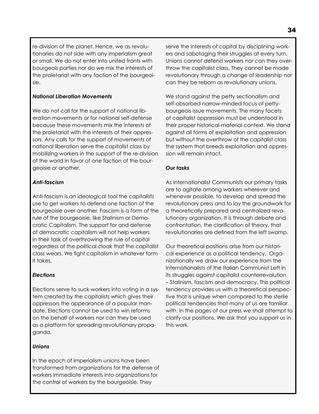re-division of the planet. Hence, we as revolutionaries do not side with any imperialism great or small. We do not enter into united fronts with bourgeois parties nor do we mix the interests of the proletariat with any faction of the bourgeoisie.

### *National Liberation Movements*

We do not call for the support of national liberation movements or for national self-defense because these movements mix the interests of the proletariat with the interests of their oppressors. Any calls for the support of movements of national liberation serve the capitalist class by mobilizing workers in the support of the re-division of the world in favor of one faction of the bourgeoisie or another.

### *Anti-fascism*

Anti-fascism is an ideological tool the capitalists use to get workers to defend one faction of the bourgeoisie over another. Fascism is a form of the rule of the bourgeoisie, like Stalinism or Democratic Capitalism. The support for and defense of democratic capitalism will not help workers in their task of overthrowing the rule of capital regardless of the political cloak that the capitalist class wears. We fight capitalism in whatever form it takes.

### *Elections*

Elections serve to suck workers into voting in a system created by the capitalists which gives their oppressors the appearance of a popular mandate. Elections cannot be used to win reforms on the behalf of workers nor can they be used as a platform for spreading revolutionary propaganda.

### *Unions*

In the epoch of imperialism unions have been transformed from organizations for the defense of workers immediate interests into organizations for the control of workers by the bourgeoisie. They

serve the interests of capital by disciplining workers and sabotaging their struggles at every turn. Unions cannot defend workers nor can they overthrow the capitalist class. They cannot be made revolutionary through a change of leadership nor can they be reborn as revolutionary unions.

We stand against the petty sectionalism and self-absorbed narrow-minded focus of pettybourgeois issue movements. The many facets of capitalist oppression must be understood in their proper historical-material context. We stand against all forms of exploitation and oppression but without the overthrow of the capitalist class the system that breeds exploitation and oppression will remain intact.

### *Our tasks*

As Internationalist Communists our primary tasks are to agitate among workers wherever and whenever possible, to develop and spread the revolutionary press and to lay the groundwork for a theoretically prepared and centralized revolutionary organization. It is through debate and confrontation, the clarification of theory, that revolutionaries are defined from the left swamp.

Our theoretical positions arise from our historical experience as a political tendency. Organizationally we draw our experience from the Internationalists of the Italian Communist Left in its struggles against capitalist counterrevolution – Stalinism, fascism and democracy. This political tendency provides us with a theoretical perspective that is unique when compared to the sterile political tendencies that many of us are familiar with. In the pages of our press we shall attempt to clarify our positions. We ask that you support us in this work.